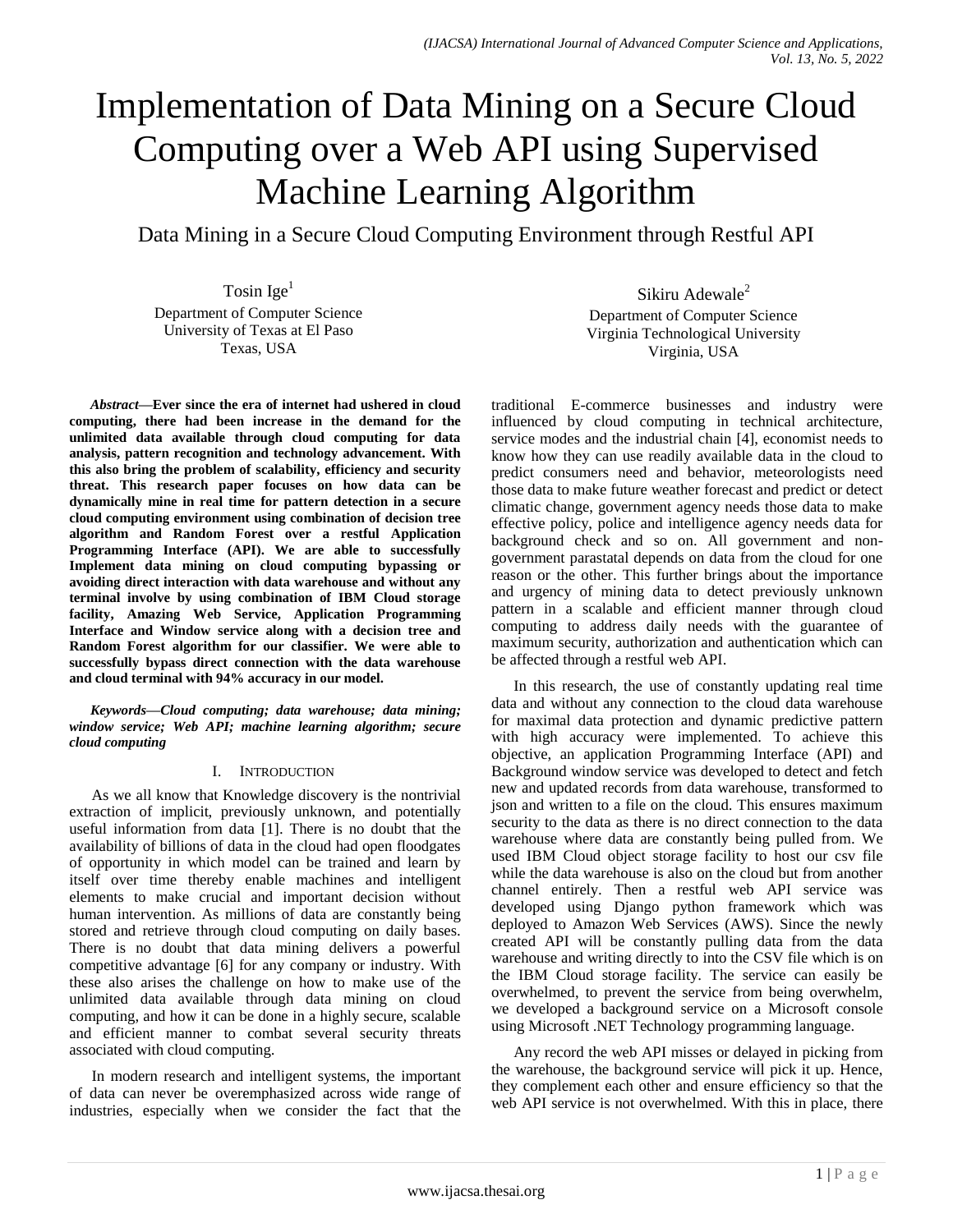# Implementation of Data Mining on a Secure Cloud Computing over a Web API using Supervised Machine Learning Algorithm

Data Mining in a Secure Cloud Computing Environment through Restful API

Tosin Ige<sup>1</sup> Department of Computer Science University of Texas at El Paso Texas, USA

*Abstract***—Ever since the era of internet had ushered in cloud computing, there had been increase in the demand for the unlimited data available through cloud computing for data analysis, pattern recognition and technology advancement. With this also bring the problem of scalability, efficiency and security threat. This research paper focuses on how data can be dynamically mine in real time for pattern detection in a secure cloud computing environment using combination of decision tree algorithm and Random Forest over a restful Application Programming Interface (API). We are able to successfully Implement data mining on cloud computing bypassing or avoiding direct interaction with data warehouse and without any terminal involve by using combination of IBM Cloud storage facility, Amazing Web Service, Application Programming Interface and Window service along with a decision tree and Random Forest algorithm for our classifier. We were able to successfully bypass direct connection with the data warehouse and cloud terminal with 94% accuracy in our model.**

*Keywords—Cloud computing; data warehouse; data mining; window service; Web API; machine learning algorithm; secure cloud computing*

# I. INTRODUCTION

As we all know that Knowledge discovery is the nontrivial extraction of implicit, previously unknown, and potentially useful information from data [1]. There is no doubt that the availability of billions of data in the cloud had open floodgates of opportunity in which model can be trained and learn by itself over time thereby enable machines and intelligent elements to make crucial and important decision without human intervention. As millions of data are constantly being stored and retrieve through cloud computing on daily bases. There is no doubt that data mining delivers a powerful competitive advantage [6] for any company or industry. With these also arises the challenge on how to make use of the unlimited data available through data mining on cloud computing, and how it can be done in a highly secure, scalable and efficient manner to combat several security threats associated with cloud computing.

In modern research and intelligent systems, the important of data can never be overemphasized across wide range of industries, especially when we consider the fact that the

Sikiru Adewale<sup>2</sup> Department of Computer Science Virginia Technological University Virginia, USA

traditional E-commerce businesses and industry were influenced by cloud computing in technical architecture, service modes and the industrial chain [4], economist needs to know how they can use readily available data in the cloud to predict consumers need and behavior, meteorologists need those data to make future weather forecast and predict or detect climatic change, government agency needs those data to make effective policy, police and intelligence agency needs data for background check and so on. All government and nongovernment parastatal depends on data from the cloud for one reason or the other. This further brings about the importance and urgency of mining data to detect previously unknown pattern in a scalable and efficient manner through cloud computing to address daily needs with the guarantee of maximum security, authorization and authentication which can be affected through a restful web API.

In this research, the use of constantly updating real time data and without any connection to the cloud data warehouse for maximal data protection and dynamic predictive pattern with high accuracy were implemented. To achieve this objective, an application Programming Interface (API) and Background window service was developed to detect and fetch new and updated records from data warehouse, transformed to json and written to a file on the cloud. This ensures maximum security to the data as there is no direct connection to the data warehouse where data are constantly being pulled from. We used IBM Cloud object storage facility to host our csv file while the data warehouse is also on the cloud but from another channel entirely. Then a restful web API service was developed using Django python framework which was deployed to Amazon Web Services (AWS). Since the newly created API will be constantly pulling data from the data warehouse and writing directly to into the CSV file which is on the IBM Cloud storage facility. The service can easily be overwhelmed, to prevent the service from being overwhelm, we developed a background service on a Microsoft console using Microsoft .NET Technology programming language.

Any record the web API misses or delayed in picking from the warehouse, the background service will pick it up. Hence, they complement each other and ensure efficiency so that the web API service is not overwhelmed. With this in place, there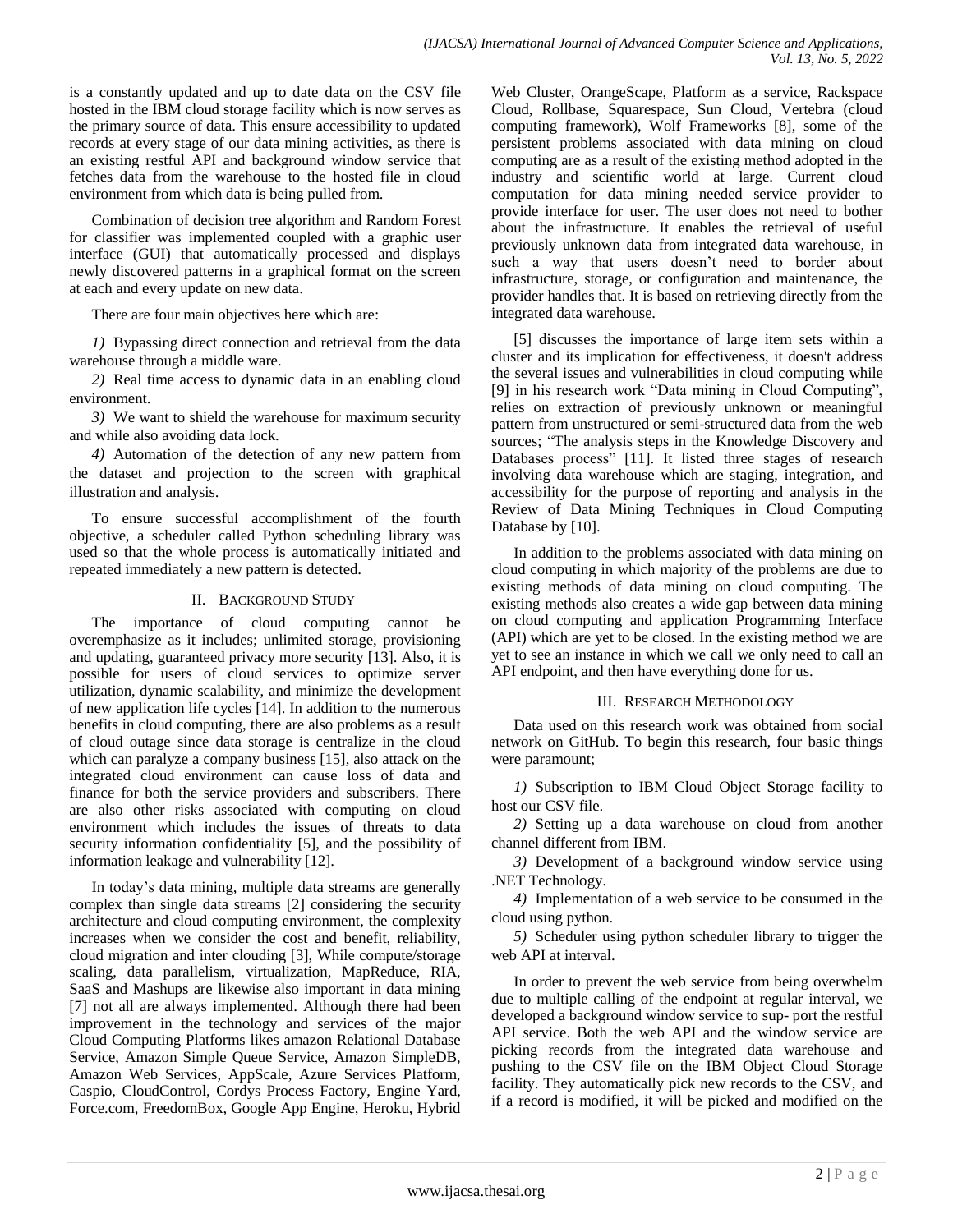is a constantly updated and up to date data on the CSV file hosted in the IBM cloud storage facility which is now serves as the primary source of data. This ensure accessibility to updated records at every stage of our data mining activities, as there is an existing restful API and background window service that fetches data from the warehouse to the hosted file in cloud environment from which data is being pulled from.

Combination of decision tree algorithm and Random Forest for classifier was implemented coupled with a graphic user interface (GUI) that automatically processed and displays newly discovered patterns in a graphical format on the screen at each and every update on new data.

There are four main objectives here which are:

*1)* Bypassing direct connection and retrieval from the data warehouse through a middle ware.

*2)* Real time access to dynamic data in an enabling cloud environment.

*3)* We want to shield the warehouse for maximum security and while also avoiding data lock.

*4)* Automation of the detection of any new pattern from the dataset and projection to the screen with graphical illustration and analysis.

To ensure successful accomplishment of the fourth objective, a scheduler called Python scheduling library was used so that the whole process is automatically initiated and repeated immediately a new pattern is detected.

# II. BACKGROUND STUDY

The importance of cloud computing cannot be overemphasize as it includes; unlimited storage, provisioning and updating, guaranteed privacy more security [13]. Also, it is possible for users of cloud services to optimize server utilization, dynamic scalability, and minimize the development of new application life cycles [14]. In addition to the numerous benefits in cloud computing, there are also problems as a result of cloud outage since data storage is centralize in the cloud which can paralyze a company business [15], also attack on the integrated cloud environment can cause loss of data and finance for both the service providers and subscribers. There are also other risks associated with computing on cloud environment which includes the issues of threats to data security information confidentiality [5], and the possibility of information leakage and vulnerability [12].

In today's data mining, multiple data streams are generally complex than single data streams [2] considering the security architecture and cloud computing environment, the complexity increases when we consider the cost and benefit, reliability, cloud migration and inter clouding [3], While compute/storage scaling, data parallelism, virtualization, MapReduce, RIA, SaaS and Mashups are likewise also important in data mining [7] not all are always implemented. Although there had been improvement in the technology and services of the major Cloud Computing Platforms likes amazon Relational Database Service, Amazon Simple Queue Service, Amazon SimpleDB, Amazon Web Services, AppScale, Azure Services Platform, Caspio, CloudControl, Cordys Process Factory, Engine Yard, Force.com, FreedomBox, Google App Engine, Heroku, Hybrid Web Cluster, OrangeScape, Platform as a service, Rackspace Cloud, Rollbase, Squarespace, Sun Cloud, Vertebra (cloud computing framework), Wolf Frameworks [8], some of the persistent problems associated with data mining on cloud computing are as a result of the existing method adopted in the industry and scientific world at large. Current cloud computation for data mining needed service provider to provide interface for user. The user does not need to bother about the infrastructure. It enables the retrieval of useful previously unknown data from integrated data warehouse, in such a way that users doesn't need to border about infrastructure, storage, or configuration and maintenance, the provider handles that. It is based on retrieving directly from the integrated data warehouse.

[5] discusses the importance of large item sets within a cluster and its implication for effectiveness, it doesn't address the several issues and vulnerabilities in cloud computing while [9] in his research work "Data mining in Cloud Computing", relies on extraction of previously unknown or meaningful pattern from unstructured or semi-structured data from the web sources; "The analysis steps in the Knowledge Discovery and Databases process" [11]. It listed three stages of research involving data warehouse which are staging, integration, and accessibility for the purpose of reporting and analysis in the Review of Data Mining Techniques in Cloud Computing Database by [10].

In addition to the problems associated with data mining on cloud computing in which majority of the problems are due to existing methods of data mining on cloud computing. The existing methods also creates a wide gap between data mining on cloud computing and application Programming Interface (API) which are yet to be closed. In the existing method we are yet to see an instance in which we call we only need to call an API endpoint, and then have everything done for us.

# III. RESEARCH METHODOLOGY

Data used on this research work was obtained from social network on GitHub. To begin this research, four basic things were paramount;

*1)* Subscription to IBM Cloud Object Storage facility to host our CSV file.

*2)* Setting up a data warehouse on cloud from another channel different from IBM.

*3)* Development of a background window service using .NET Technology.

*4)* Implementation of a web service to be consumed in the cloud using python.

*5)* Scheduler using python scheduler library to trigger the web API at interval.

In order to prevent the web service from being overwhelm due to multiple calling of the endpoint at regular interval, we developed a background window service to sup- port the restful API service. Both the web API and the window service are picking records from the integrated data warehouse and pushing to the CSV file on the IBM Object Cloud Storage facility. They automatically pick new records to the CSV, and if a record is modified, it will be picked and modified on the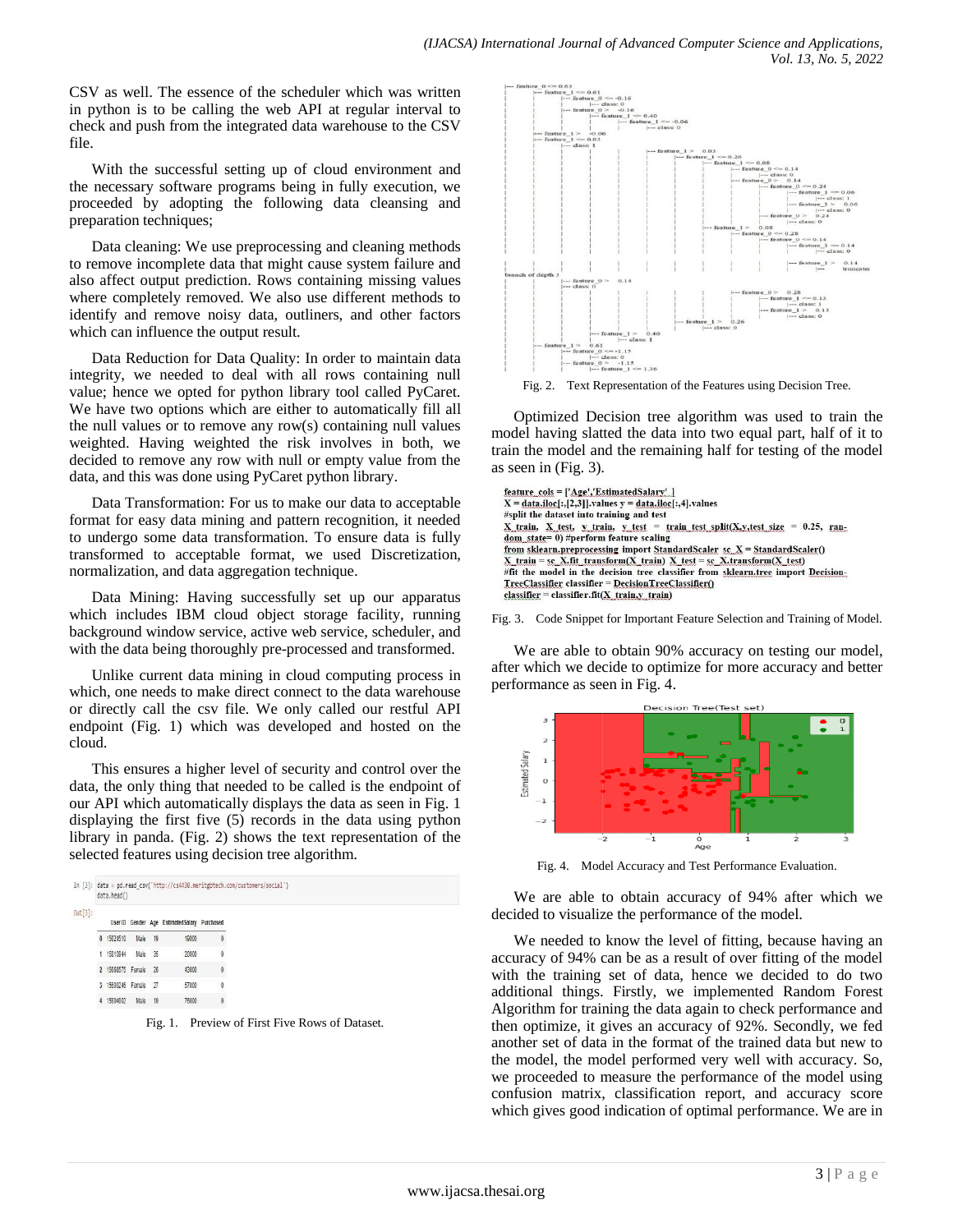CSV as well. The essence of the scheduler which was written in python is to be calling the web API at regular interval to check and push from the integrated data warehouse to the CSV file.

With the successful setting up of cloud environment and the necessary software programs being in fully execution, we proceeded by adopting the following data cleansing and preparation techniques;

Data cleaning: We use preprocessing and cleaning methods to remove incomplete data that might cause system failure and also affect output prediction. Rows containing missing values where completely removed. We also use different methods to identify and remove noisy data, outliners, and other factors which can influence the output result.

Data Reduction for Data Quality: In order to maintain data integrity, we needed to deal with all rows containing null value; hence we opted for python library tool called PyCaret. We have two options which are either to automatically fill all the null values or to remove any row(s) containing null values weighted. Having weighted the risk involves in both, we decided to remove any row with null or empty value from the data, and this was done using PyCaret python library.

Data Transformation: For us to make our data to acceptable format for easy data mining and pattern recognition, it needed to undergo some data transformation. To ensure data is fully transformed to acceptable format, we used Discretization, normalization, and data aggregation technique.

Data Mining: Having successfully set up our apparatus which includes IBM cloud object storage facility, running background window service, active web service, scheduler, and with the data being thoroughly pre-processed and transformed.

Unlike current data mining in cloud computing process in which, one needs to make direct connect to the data warehouse or directly call the csv file. We only called our restful API endpoint (Fig. 1) which was developed and hosted on the cloud.

This ensures a higher level of security and control over the data, the only thing that needed to be called is the endpoint of our API which automatically displays the data as seen in Fig. 1 displaying the first five (5) records in the data using python library in panda. (Fig. 2) shows the text representation of the selected features using decision tree algorithm.

|            | data.head()          |         | In [3]: data = pd.read csv('http://cs4430.meritgbtech.com/customers/social') |                                 |
|------------|----------------------|---------|------------------------------------------------------------------------------|---------------------------------|
| $Out[3]$ : |                      |         | User ID Gender Age Estimated Salary Purchased                                |                                 |
|            | 0 15624510           | Male 19 | 19000                                                                        | 0                               |
|            | 1 15810944           | Male 35 | 20000                                                                        | 0                               |
|            | 2 15668575 Female 26 |         | <b>SALE OF CO</b><br>43000                                                   | $\theta$                        |
|            | 3 15603246 Female 27 |         | 57000                                                                        | 0                               |
|            | 4 15804002           | Male 19 | 76000                                                                        | $\begin{matrix} 0 \end{matrix}$ |

Fig. 1. Preview of First Five Rows of Dataset.



Fig. 2. Text Representation of the Features using Decision Tree.

Optimized Decision tree algorithm was used to train the model having slatted the data into two equal part, half of it to train the model and the remaining half for testing of the model as seen in (Fig. 3).

| feature_cols = ['Age','EstimatedSalary' ]                                                                                                         |
|---------------------------------------------------------------------------------------------------------------------------------------------------|
| $X = data.idc[:, [2,3]].values y = data.idc[:, 4].values$                                                                                         |
| #split the dataset into training and test                                                                                                         |
| X train, X test, y train, y test = train test split(X,y,test size = 0.25, ran-                                                                    |
| from sklearn.preprocessing import StandardScaler sc X = StandardScaler()<br>X train = sc X.fit transform(X train) X test = sc X.transform(X test) |
| #fit the model in the decision tree classifier from sklearn.tree import Decision-                                                                 |
| TreeClassifier_classifier = DecisionTreeClassifier()                                                                                              |
| $\text{ classifier} = \text{classification}. \text{fit}(X \text{ train}, y \text{ train})$                                                        |

Fig. 3. Code Snippet for Important Feature Selection and Training of Model.

We are able to obtain 90% accuracy on testing our model, after which we decide to optimize for more accuracy and better performance as seen in Fig. 4.



Fig. 4. Model Accuracy and Test Performance Evaluation.

We are able to obtain accuracy of 94% after which we decided to visualize the performance of the model.

We needed to know the level of fitting, because having an accuracy of 94% can be as a result of over fitting of the model with the training set of data, hence we decided to do two additional things. Firstly, we implemented Random Forest Algorithm for training the data again to check performance and then optimize, it gives an accuracy of 92%. Secondly, we fed another set of data in the format of the trained data but new to the model, the model performed very well with accuracy. So, we proceeded to measure the performance of the model using confusion matrix, classification report, and accuracy score which gives good indication of optimal performance. We are in